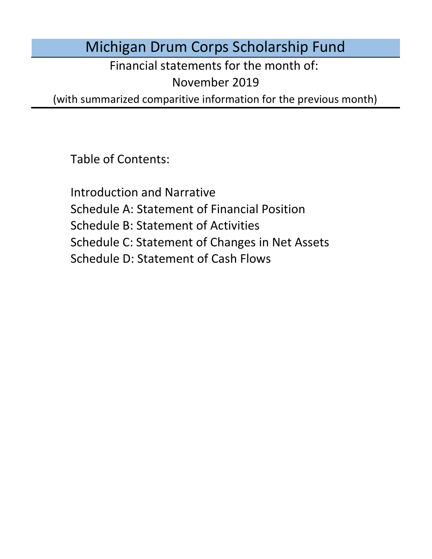Michigan Drum Corps Scholarship Fund

Financial statements for the month of:

November 2019

(with summarized comparitive information for the previous month)

Table of Contents:

Schedule D: Statement of Cash Flows Introduction and Narrative Schedule A: Statement of Financial Position Schedule B: Statement of Activities Schedule C: Statement of Changes in Net Assets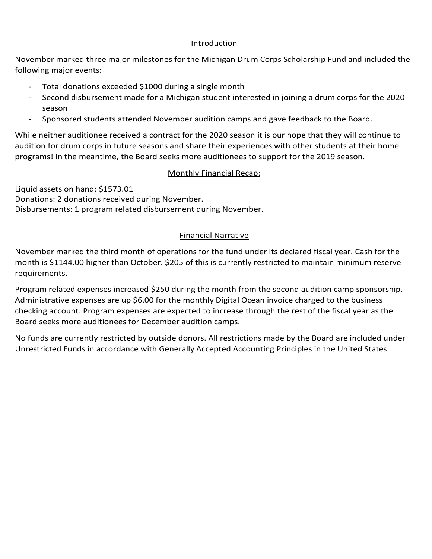#### Introduction Introduction

November marked three major milestones for the Michigan Drum Corps Scholarship Fund and included the following major events:

- Total donations exceeded \$1000 during a single month
- Formations exceeded 51000 during a single month.<br>- Second disbursement made for a Michigan student interested in joining a drum corps for the 2020<br>season following major events:<br>- - Total donations exceeded \$1000 during a single month<br>- Second disbursement made for a Michigan student interested in joining a drum corps for the 2020
	- season<br>Sponsored students attended November audition camps and gave feedback to the Board.

Sponsored students attended November audition camps and gave feedback to the Board.<br>le neither auditionee received a contract for the 2020 season it is our hope that they will continue to<br>ition for drum corps in future sea programs! In the meantime, the Board seeks more auditionees to support for the 2019 season. While neither auditionee received a contract for the 2020 season it is our hope that they will continue to audition for drum corps in future seasons and share their experiences with other students at their home

#### The Board of Directors would like to formally thank every individual associated with the creation Monthly Financial Recap:

Liquid assets on hand: \$1573.01 and with this far without your continued support of the support of the support of this far without your continued support of the support of the support of the support of the support of the s Donations: 2 donations received during November.<br>Disbursements: 1 program related disbursement during November. Donations: 2 donations received during November.

### Donations: 4 donations received during September totaling \$844.00. Financial Narrative producted relative

Financial Narrative month is \$1144.00 higher than October. \$205 of this is currently restricted to maintain minimum reserve November marked the third month of operations for the fund under its declared fiscal year. Cash for the requirements.

 $S$  is a first marked operations in separations of  $\Delta$  FO dividen the properties as a separation of the fund under its declared fiscal  $\Delta$ Program related expenses increased \$250 during the month from the second audition camp sponsorship.<br>Administrative expenses are we \$6.00 factbe monthly Disitel Ocean inveise aberead to the business. Administrative expenses are up 50.00 for the monthly Digital Ocean livolce charged to the business<br>checking account. Program expenses are expected to increase through the rest of the fiscal year as the Board seeks more auditionees for December audition camps. Administrative expenses are up \$6.00 for the monthly Digital Ocean invoice charged to the business

No funds are currently restricted by outside donors. All restrictions made by the Board are included under expenses are currently restricted by outside donors. An restrictions made by the board are included dirder.<br>Unitated funds in accordance with Concretty Accorded Accounting Directals in the United States. Unrestricted Funds in accordance with Generally Accepted Accounting Principles in the United States.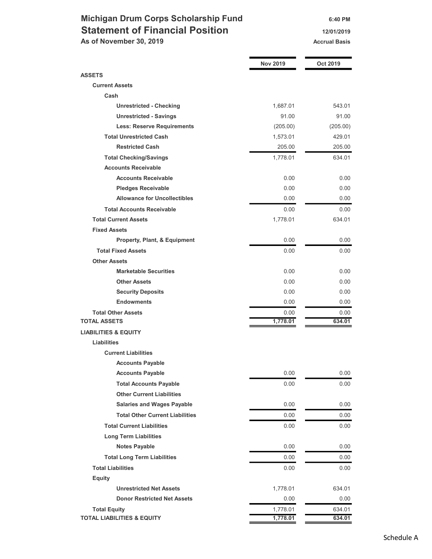## Michigan Drum Corps Scholarship Fund 6:40 PM Statement of Financial Position 12/01/2019 As of November 30, 2019 Accrual Basis Accrual Basis

|                                         | <b>Nov 2019</b> | Oct 2019 |
|-----------------------------------------|-----------------|----------|
| <b>ASSETS</b>                           |                 |          |
| <b>Current Assets</b>                   |                 |          |
| Cash                                    |                 |          |
| <b>Unrestricted - Checking</b>          | 1,687.01        | 543.01   |
| <b>Unrestricted - Savings</b>           | 91.00           | 91.00    |
| <b>Less: Reserve Requirements</b>       | (205.00)        | (205.00) |
| <b>Total Unrestricted Cash</b>          | 1,573.01        | 429.01   |
| <b>Restricted Cash</b>                  | 205.00          | 205.00   |
| <b>Total Checking/Savings</b>           | 1,778.01        | 634.01   |
| <b>Accounts Receivable</b>              |                 |          |
| <b>Accounts Receivable</b>              | 0.00            | 0.00     |
| <b>Pledges Receivable</b>               | 0.00            | 0.00     |
| <b>Allowance for Uncollectibles</b>     | 0.00            | 0.00     |
| <b>Total Accounts Receivable</b>        | 0.00            | 0.00     |
| <b>Total Current Assets</b>             | 1,778.01        | 634.01   |
| <b>Fixed Assets</b>                     |                 |          |
| <b>Property, Plant, &amp; Equipment</b> | 0.00            | 0.00     |
| <b>Total Fixed Assets</b>               | 0.00            | 0.00     |
| <b>Other Assets</b>                     |                 |          |
| <b>Marketable Securities</b>            | 0.00            | 0.00     |
| <b>Other Assets</b>                     | 0.00            | 0.00     |
| <b>Security Deposits</b>                | 0.00            | 0.00     |
| <b>Endowments</b>                       | 0.00            | 0.00     |
| <b>Total Other Assets</b>               | 0.00            | 0.00     |
| <b>TOTAL ASSETS</b>                     | 1,778.01        | 634.01   |
| <b>LIABILITIES &amp; EQUITY</b>         |                 |          |
| <b>Liabilities</b>                      |                 |          |
| <b>Current Liabilities</b>              |                 |          |
| <b>Accounts Payable</b>                 |                 |          |
| <b>Accounts Payable</b>                 | 0.00            | $0.00\,$ |
| <b>Total Accounts Payable</b>           | 0.00            | 0.00     |
| <b>Other Current Liabilities</b>        |                 |          |
| <b>Salaries and Wages Payable</b>       | 0.00            | 0.00     |
| <b>Total Other Current Liabilities</b>  | 0.00            | 0.00     |
| <b>Total Current Liabilities</b>        | 0.00            | 0.00     |
| <b>Long Term Liabilities</b>            |                 |          |
| <b>Notes Payable</b>                    | 0.00            | 0.00     |
| <b>Total Long Term Liabilities</b>      | 0.00            | 0.00     |
| <b>Total Liabilities</b>                | 0.00            | 0.00     |
| <b>Equity</b>                           |                 |          |
| <b>Unrestricted Net Assets</b>          | 1,778.01        | 634.01   |
| <b>Donor Restricted Net Assets</b>      | 0.00            | 0.00     |
| <b>Total Equity</b>                     | 1,778.01        | 634.01   |
| <b>TOTAL LIABILITIES &amp; EQUITY</b>   | 1,778.01        | 634.01   |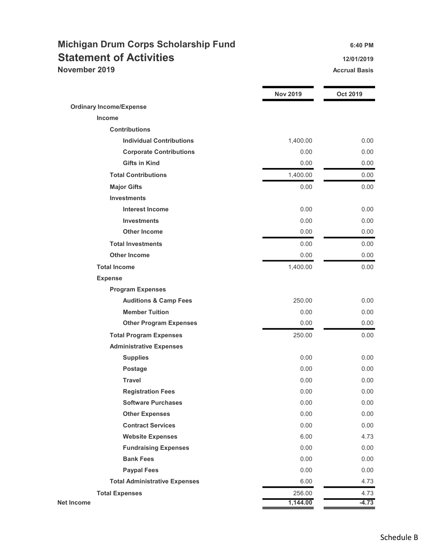# Michigan Drum Corps Scholarship Fund 6:40 PM Statement of Activities 12/01/2019 November 2019 **Accrual Basis** Accrual Basis **Accrual Basis**

|                                      | <b>Nov 2019</b> | <b>Oct 2019</b> |
|--------------------------------------|-----------------|-----------------|
| <b>Ordinary Income/Expense</b>       |                 |                 |
| <b>Income</b>                        |                 |                 |
| <b>Contributions</b>                 |                 |                 |
| <b>Individual Contributions</b>      | 1,400.00        | 0.00            |
| <b>Corporate Contributions</b>       | 0.00            | 0.00            |
| <b>Gifts in Kind</b>                 | 0.00            | 0.00            |
| <b>Total Contributions</b>           | 1,400.00        | 0.00            |
| <b>Major Gifts</b>                   | 0.00            | 0.00            |
| <b>Investments</b>                   |                 |                 |
| <b>Interest Income</b>               | 0.00            | 0.00            |
| <b>Investments</b>                   | 0.00            | 0.00            |
| <b>Other Income</b>                  | 0.00            | 0.00            |
| <b>Total Investments</b>             | 0.00            | 0.00            |
| <b>Other Income</b>                  | 0.00            | 0.00            |
| <b>Total Income</b>                  | 1,400.00        | 0.00            |
| <b>Expense</b>                       |                 |                 |
| <b>Program Expenses</b>              |                 |                 |
| <b>Auditions &amp; Camp Fees</b>     | 250.00          | 0.00            |
| <b>Member Tuition</b>                | 0.00            | 0.00            |
| <b>Other Program Expenses</b>        | 0.00            | 0.00            |
| <b>Total Program Expenses</b>        | 250.00          | 0.00            |
| <b>Administrative Expenses</b>       |                 |                 |
| <b>Supplies</b>                      | 0.00            | 0.00            |
| <b>Postage</b>                       | 0.00            | 0.00            |
| <b>Travel</b>                        | 0.00            | 0.00            |
| <b>Registration Fees</b>             | 0.00            | 0.00            |
| <b>Software Purchases</b>            | 0.00            | 0.00            |
| <b>Other Expenses</b>                | 0.00            | 0.00            |
| <b>Contract Services</b>             | 0.00            | 0.00            |
| <b>Website Expenses</b>              | 6.00            | 4.73            |
| <b>Fundraising Expenses</b>          | 0.00            | 0.00            |
| <b>Bank Fees</b>                     | 0.00            | 0.00            |
| <b>Paypal Fees</b>                   | 0.00            | 0.00            |
| <b>Total Administrative Expenses</b> | 6.00            | 4.73            |
| <b>Total Expenses</b>                | 256.00          | 4.73            |
| Net Income                           | 1,144.00        | $-4.73$         |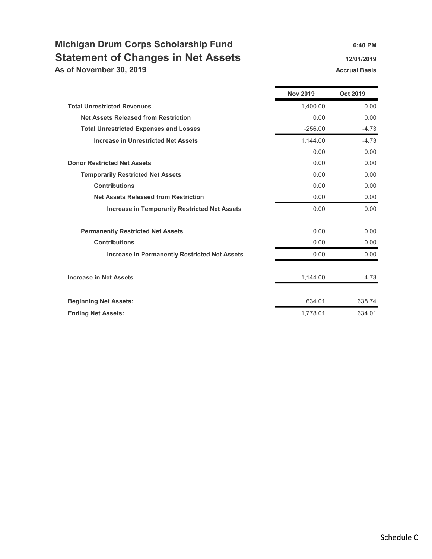# Michigan Drum Corps Scholarship Fund 6:40 PM Statement of Changes in Net Assets 12/01/2019 As of November 30, 2019 **Accrual Basis** Accrual Basis Accrual Basis

|                                                      | <b>Nov 2019</b> | <b>Oct 2019</b> |
|------------------------------------------------------|-----------------|-----------------|
| <b>Total Unrestricted Revenues</b>                   | 1.400.00        | 0.00            |
| <b>Net Assets Released from Restriction</b>          | 0.00            | 0.00            |
| <b>Total Unrestricted Expenses and Losses</b>        | $-256.00$       | $-4.73$         |
| <b>Increase in Unrestricted Net Assets</b>           | 1,144.00        | $-4.73$         |
|                                                      | 0.00            | 0.00            |
| <b>Donor Restricted Net Assets</b>                   | 0.00            | 0.00            |
| <b>Temporarily Restricted Net Assets</b>             | 0.00            | 0.00            |
| <b>Contributions</b>                                 | 0.00            | 0.00            |
| <b>Net Assets Released from Restriction</b>          | 0.00            | 0.00            |
| <b>Increase in Temporarily Restricted Net Assets</b> | 0.00            | 0.00            |
| <b>Permanently Restricted Net Assets</b>             | 0.00            | 0.00            |
| <b>Contributions</b>                                 | 0.00            | 0.00            |
| <b>Increase in Permanently Restricted Net Assets</b> | 0.00            | 0.00            |
| <b>Increase in Net Assets</b>                        | 1,144.00        | $-4.73$         |
| <b>Beginning Net Assets:</b>                         | 634.01          | 638.74          |
| <b>Ending Net Assets:</b>                            | 1,778.01        | 634.01          |